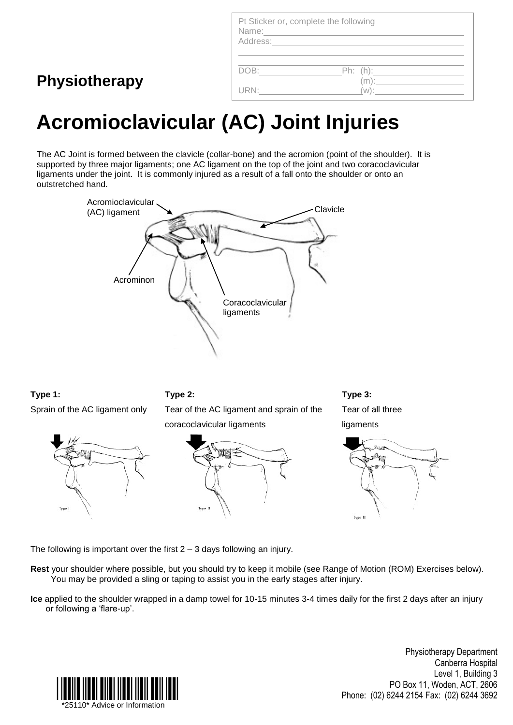| Pt Sticker or, complete the following<br>Name:<br>Address: National Address: |                |
|------------------------------------------------------------------------------|----------------|
| DOB:                                                                         | _Ph: (h):_____ |
|                                                                              | $W)$ :         |

## **Acromioclavicular (AC) Joint Injuries**

The AC Joint is formed between the clavicle (collar-bone) and the acromion (point of the shoulder). It is supported by three major ligaments; one AC ligament on the top of the joint and two coracoclavicular ligaments under the joint. It is commonly injured as a result of a fall onto the shoulder or onto an outstretched hand.



**Type 1:**

Sprain of the AC ligament only

**Physiotherapy**



**Type 2:**

Tear of the AC ligament and sprain of the coracoclavicular ligaments



**Type 3:** Tear of all three ligaments



The following is important over the first  $2 - 3$  days following an injury.

**Rest** your shoulder where possible, but you should try to keep it mobile (see Range of Motion (ROM) Exercises below). You may be provided a sling or taping to assist you in the early stages after injury.

**Ice** applied to the shoulder wrapped in a damp towel for 10-15 minutes 3-4 times daily for the first 2 days after an injury or following a 'flare-up'.



Physiotherapy Department Canberra Hospital Level 1, Building 3 PO Box 11, Woden, ACT, 2606 Phone: (02) 6244 2154 Fax: (02) 6244 3692